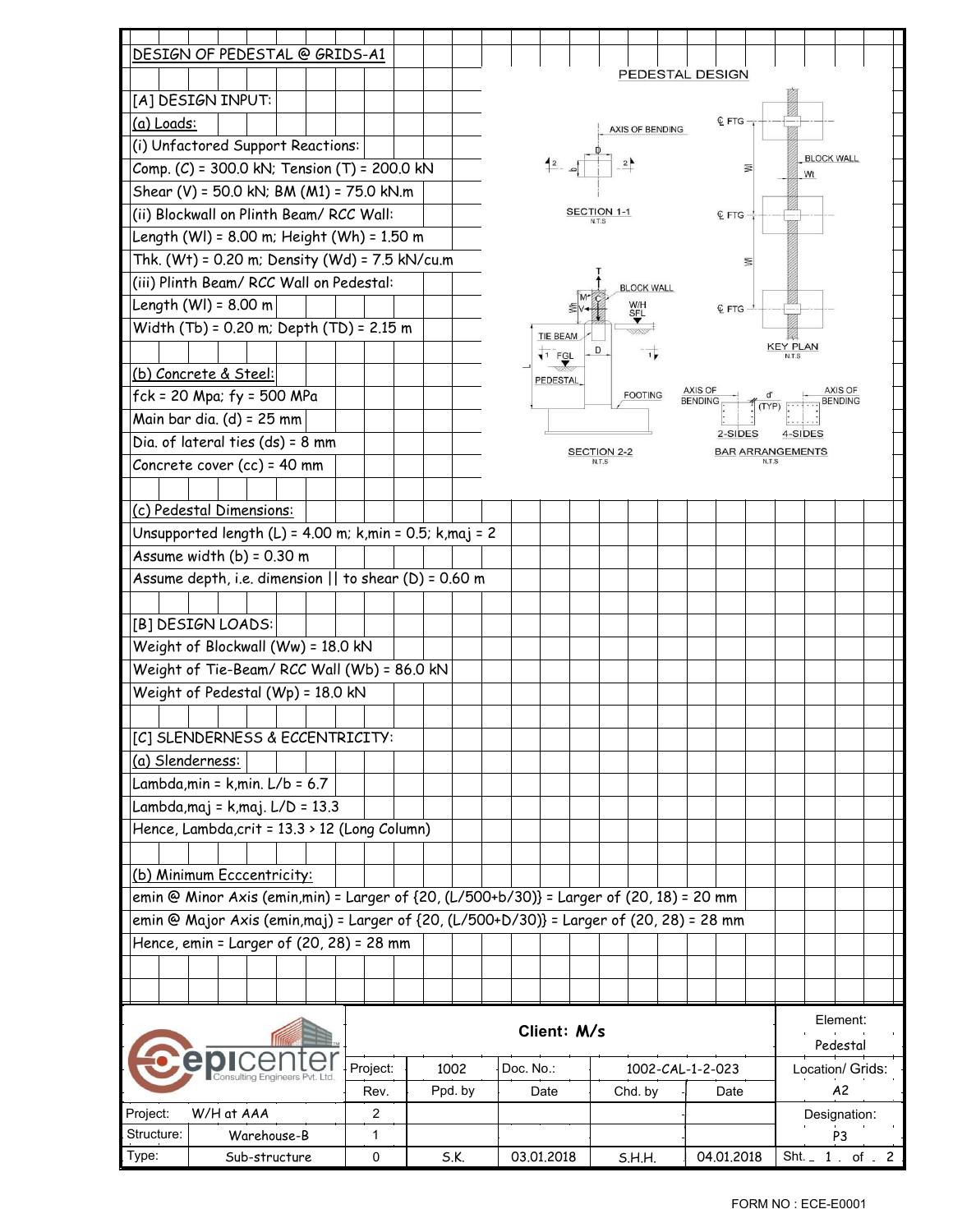|                                                                                                                     | DESIGN OF PEDESTAL @ GRIDS-A1                                                            |      |          |         |  |      |            |           |                |         |                  |  |            |  |               |    |                  |                   |  |  |
|---------------------------------------------------------------------------------------------------------------------|------------------------------------------------------------------------------------------|------|----------|---------|--|------|------------|-----------|----------------|---------|------------------|--|------------|--|---------------|----|------------------|-------------------|--|--|
| PEDESTAL DESIGN<br>[A] DESIGN INPUT:                                                                                |                                                                                          |      |          |         |  |      |            |           |                |         |                  |  |            |  |               |    |                  |                   |  |  |
| <b>Q</b> FTG<br>(a) Loads:<br>AXIS OF BENDING                                                                       |                                                                                          |      |          |         |  |      |            |           |                |         |                  |  |            |  |               |    |                  |                   |  |  |
|                                                                                                                     | (i) Unfactored Support Reactions:                                                        |      |          |         |  |      |            |           |                |         |                  |  |            |  |               |    |                  |                   |  |  |
|                                                                                                                     |                                                                                          |      |          |         |  |      |            |           | $42 - 5$       |         |                  |  |            |  |               | ₹  |                  | <b>BLOCK WALL</b> |  |  |
| Comp. (C) = 300.0 kN; Tension (T) = 200.0 kN<br>Wt<br>Shear (V) = 50.0 kN; BM (M1) = 75.0 kN.m                      |                                                                                          |      |          |         |  |      |            |           |                |         |                  |  |            |  |               |    |                  |                   |  |  |
| (ii) Blockwall on Plinth Beam/ RCC Wall:<br>SECTION 1-1                                                             |                                                                                          |      |          |         |  |      |            |           |                |         |                  |  |            |  |               |    |                  |                   |  |  |
| <b>Q</b> FTG                                                                                                        |                                                                                          |      |          |         |  |      |            |           |                |         |                  |  |            |  |               |    |                  |                   |  |  |
| Length (WI) = 8.00 m; Height (Wh) = 1.50 m                                                                          |                                                                                          |      |          |         |  |      |            |           |                |         |                  |  |            |  |               |    |                  |                   |  |  |
| Thk. (Wt) = 0.20 m; Density (Wd) = 7.5 kN/cu.m<br>Ξ                                                                 |                                                                                          |      |          |         |  |      |            |           |                |         |                  |  |            |  |               |    |                  |                   |  |  |
| (iii) Plinth Beam/ RCC Wall on Pedestal:<br><b>BLOCK WALL</b>                                                       |                                                                                          |      |          |         |  |      |            |           |                |         |                  |  |            |  |               |    |                  |                   |  |  |
| Length $(WI) = 8.00$ m<br>W/H<br>S <u>F</u> L<br><b>Q</b> FTG                                                       |                                                                                          |      |          |         |  |      |            |           |                |         |                  |  |            |  |               |    |                  |                   |  |  |
| Width (Tb) = 0.20 m; Depth (TD) = 2.15 m<br>TIE BEAM                                                                |                                                                                          |      |          |         |  |      |            |           |                |         |                  |  |            |  |               |    |                  |                   |  |  |
|                                                                                                                     |                                                                                          |      |          |         |  |      |            |           | $\sqrt{1}$ FGL |         |                  |  |            |  |               |    | <b>KEY PLAN</b>  |                   |  |  |
|                                                                                                                     | (b) Concrete & Steel:                                                                    |      |          |         |  |      |            |           | PEDESTAL       |         |                  |  |            |  |               |    |                  |                   |  |  |
| AXIS OF<br>AXIS OF<br>$fck = 20$ Mpa; $fy = 500$ MPa<br><b>FOOTING</b><br><b>BENDING</b><br><b>BENDING</b><br>(TYP) |                                                                                          |      |          |         |  |      |            |           |                |         |                  |  |            |  |               |    |                  |                   |  |  |
| Main bar dia. (d) = 25 mm                                                                                           |                                                                                          |      |          |         |  |      |            |           |                |         |                  |  |            |  |               |    |                  |                   |  |  |
| 2-SIDES<br>4-SIDES<br>Dia. of lateral ties $(ds) = 8$ mm                                                            |                                                                                          |      |          |         |  |      |            |           |                |         |                  |  |            |  |               |    |                  |                   |  |  |
| <b>SECTION 2-2</b><br><b>BAR ARRANGEMENTS</b><br>Concrete cover (cc) = 40 mm                                        |                                                                                          |      |          |         |  |      |            |           |                |         |                  |  |            |  |               |    |                  |                   |  |  |
|                                                                                                                     |                                                                                          |      |          |         |  |      |            |           |                |         |                  |  |            |  |               |    |                  |                   |  |  |
|                                                                                                                     | (c) Pedestal Dimensions:                                                                 |      |          |         |  |      |            |           |                |         |                  |  |            |  |               |    |                  |                   |  |  |
|                                                                                                                     | Unsupported length (L) = 4.00 m; $k,min = 0.5$ ; $k,max = 2$                             |      |          |         |  |      |            |           |                |         |                  |  |            |  |               |    |                  |                   |  |  |
|                                                                                                                     | Assume width $(b) = 0.30$ m                                                              |      |          |         |  |      |            |           |                |         |                  |  |            |  |               |    |                  |                   |  |  |
|                                                                                                                     | Assume depth, i.e. dimension $  $ to shear (D) = 0.60 m                                  |      |          |         |  |      |            |           |                |         |                  |  |            |  |               |    |                  |                   |  |  |
|                                                                                                                     |                                                                                          |      |          |         |  |      |            |           |                |         |                  |  |            |  |               |    |                  |                   |  |  |
|                                                                                                                     | [B] DESIGN LOADS:                                                                        |      |          |         |  |      |            |           |                |         |                  |  |            |  |               |    |                  |                   |  |  |
|                                                                                                                     |                                                                                          |      |          |         |  |      |            |           |                |         |                  |  |            |  |               |    |                  |                   |  |  |
|                                                                                                                     | Weight of Blockwall (Ww) = 18.0 kN                                                       |      |          |         |  |      |            |           |                |         |                  |  |            |  |               |    |                  |                   |  |  |
|                                                                                                                     | Weight of Tie-Beam/ RCC Wall (Wb) = 86.0 kN                                              |      |          |         |  |      |            |           |                |         |                  |  |            |  |               |    |                  |                   |  |  |
|                                                                                                                     | Weight of Pedestal (Wp) = 18.0 kN                                                        |      |          |         |  |      |            |           |                |         |                  |  |            |  |               |    |                  |                   |  |  |
|                                                                                                                     |                                                                                          |      |          |         |  |      |            |           |                |         |                  |  |            |  |               |    |                  |                   |  |  |
|                                                                                                                     | [C] SLENDERNESS & ECCENTRICITY:                                                          |      |          |         |  |      |            |           |                |         |                  |  |            |  |               |    |                  |                   |  |  |
| (a) Slenderness:                                                                                                    |                                                                                          |      |          |         |  |      |            |           |                |         |                  |  |            |  |               |    |                  |                   |  |  |
|                                                                                                                     | Lambda, min = $k$ , min. $L/b = 6.7$                                                     |      |          |         |  |      |            |           |                |         |                  |  |            |  |               |    |                  |                   |  |  |
|                                                                                                                     | Lambda, maj = k, maj. L/D = 13.3                                                         |      |          |         |  |      |            |           |                |         |                  |  |            |  |               |    |                  |                   |  |  |
|                                                                                                                     | Hence, Lambda, crit = 13.3 > 12 (Long Column)                                            |      |          |         |  |      |            |           |                |         |                  |  |            |  |               |    |                  |                   |  |  |
|                                                                                                                     |                                                                                          |      |          |         |  |      |            |           |                |         |                  |  |            |  |               |    |                  |                   |  |  |
|                                                                                                                     | (b) Minimum Ecccentricity:                                                               |      |          |         |  |      |            |           |                |         |                  |  |            |  |               |    |                  |                   |  |  |
|                                                                                                                     | emin @ Minor Axis (emin,min) = Larger of {20, (L/500+b/30)} = Larger of (20, 18) = 20 mm |      |          |         |  |      |            |           |                |         |                  |  |            |  |               |    |                  |                   |  |  |
| emin @ Major Axis (emin,maj) = Larger of {20, (L/500+D/30)} = Larger of (20, 28) = 28 mm                            |                                                                                          |      |          |         |  |      |            |           |                |         |                  |  |            |  |               |    |                  |                   |  |  |
|                                                                                                                     | Hence, emin = Larger of (20, 28) = 28 mm                                                 |      |          |         |  |      |            |           |                |         |                  |  |            |  |               |    |                  |                   |  |  |
|                                                                                                                     |                                                                                          |      |          |         |  |      |            |           |                |         |                  |  |            |  |               |    |                  |                   |  |  |
|                                                                                                                     |                                                                                          |      |          |         |  |      |            |           |                |         |                  |  |            |  |               |    |                  |                   |  |  |
|                                                                                                                     |                                                                                          |      |          |         |  |      |            |           |                |         |                  |  |            |  |               |    |                  |                   |  |  |
| Client: M/s                                                                                                         |                                                                                          |      |          |         |  |      |            |           |                |         |                  |  | Element:   |  |               |    |                  |                   |  |  |
| epice                                                                                                               |                                                                                          |      |          |         |  |      |            |           |                |         |                  |  |            |  |               |    |                  | Pedestal          |  |  |
|                                                                                                                     |                                                                                          |      | Project: |         |  | 1002 |            | Doc. No.: |                |         | 1002-CAL-1-2-023 |  |            |  |               |    | Location/ Grids: |                   |  |  |
|                                                                                                                     |                                                                                          | Rev. |          | Ppd. by |  |      | Date       |           |                | Chd. by |                  |  | Date       |  |               | A2 |                  |                   |  |  |
| Project:<br>W/H at AAA                                                                                              |                                                                                          |      | 2        |         |  |      |            |           |                |         |                  |  |            |  |               |    |                  | Designation:      |  |  |
| Structure:                                                                                                          | Warehouse-B                                                                              |      | 1        |         |  |      |            |           |                |         |                  |  |            |  |               |    | P <sub>3</sub>   |                   |  |  |
| Type:                                                                                                               | Sub-structure                                                                            |      | 0        | S.K.    |  |      | 03.01.2018 |           |                | S.H.H.  |                  |  | 04.01.2018 |  | Sht. $1$ of 2 |    |                  |                   |  |  |